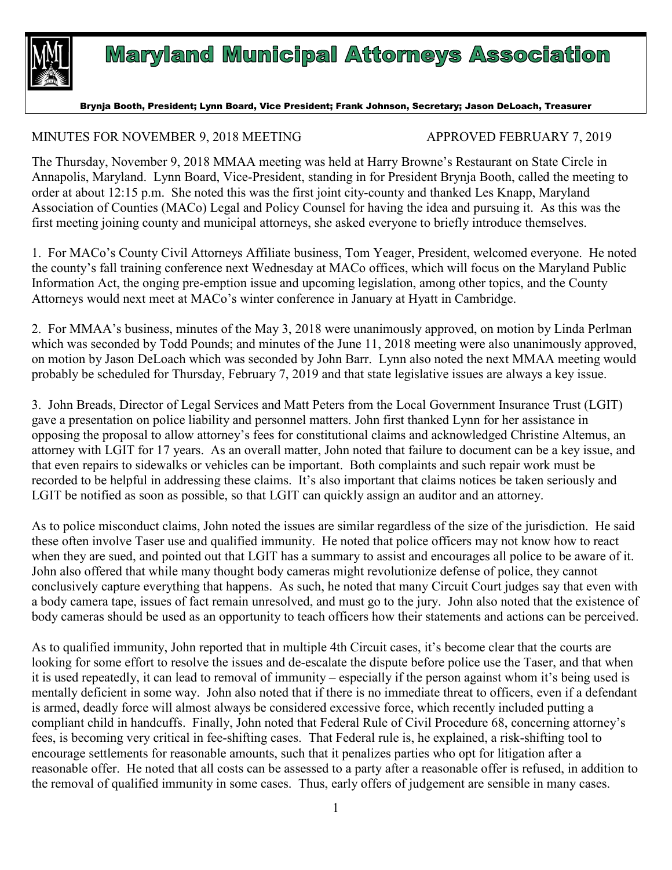

## **Maryland Municipal Attorneys Association**

Brynja Booth, President; Lynn Board, Vice President; Frank Johnson, Secretary; Jason DeLoach, Treasurer

## MINUTES FOR NOVEMBER 9, 2018 MEETING APPROVED FEBRUARY 7, 2019

The Thursday, November 9, 2018 MMAA meeting was held at Harry Browne's Restaurant on State Circle in Annapolis, Maryland. Lynn Board, Vice-President, standing in for President Brynja Booth, called the meeting to order at about 12:15 p.m. She noted this was the first joint city-county and thanked Les Knapp, Maryland Association of Counties (MACo) Legal and Policy Counsel for having the idea and pursuing it. As this was the first meeting joining county and municipal attorneys, she asked everyone to briefly introduce themselves.

1. For MACo's County Civil Attorneys Affiliate business, Tom Yeager, President, welcomed everyone. He noted the county's fall training conference next Wednesday at MACo offices, which will focus on the Maryland Public Information Act, the onging pre-emption issue and upcoming legislation, among other topics, and the County Attorneys would next meet at MACo's winter conference in January at Hyatt in Cambridge.

2. For MMAA's business, minutes of the May 3, 2018 were unanimously approved, on motion by Linda Perlman which was seconded by Todd Pounds; and minutes of the June 11, 2018 meeting were also unanimously approved, on motion by Jason DeLoach which was seconded by John Barr. Lynn also noted the next MMAA meeting would probably be scheduled for Thursday, February 7, 2019 and that state legislative issues are always a key issue.

3. John Breads, Director of Legal Services and Matt Peters from the Local Government Insurance Trust (LGIT) gave a presentation on police liability and personnel matters. John first thanked Lynn for her assistance in opposing the proposal to allow attorney's fees for constitutional claims and acknowledged Christine Altemus, an attorney with LGIT for 17 years. As an overall matter, John noted that failure to document can be a key issue, and that even repairs to sidewalks or vehicles can be important. Both complaints and such repair work must be recorded to be helpful in addressing these claims. It's also important that claims notices be taken seriously and LGIT be notified as soon as possible, so that LGIT can quickly assign an auditor and an attorney.

As to police misconduct claims, John noted the issues are similar regardless of the size of the jurisdiction. He said these often involve Taser use and qualified immunity. He noted that police officers may not know how to react when they are sued, and pointed out that LGIT has a summary to assist and encourages all police to be aware of it. John also offered that while many thought body cameras might revolutionize defense of police, they cannot conclusively capture everything that happens. As such, he noted that many Circuit Court judges say that even with a body camera tape, issues of fact remain unresolved, and must go to the jury. John also noted that the existence of body cameras should be used as an opportunity to teach officers how their statements and actions can be perceived.

As to qualified immunity, John reported that in multiple 4th Circuit cases, it's become clear that the courts are looking for some effort to resolve the issues and de-escalate the dispute before police use the Taser, and that when it is used repeatedly, it can lead to removal of immunity – especially if the person against whom it's being used is mentally deficient in some way. John also noted that if there is no immediate threat to officers, even if a defendant is armed, deadly force will almost always be considered excessive force, which recently included putting a compliant child in handcuffs. Finally, John noted that Federal Rule of Civil Procedure 68, concerning attorney's fees, is becoming very critical in fee-shifting cases. That Federal rule is, he explained, a risk-shifting tool to encourage settlements for reasonable amounts, such that it penalizes parties who opt for litigation after a reasonable offer. He noted that all costs can be assessed to a party after a reasonable offer is refused, in addition to the removal of qualified immunity in some cases. Thus, early offers of judgement are sensible in many cases.